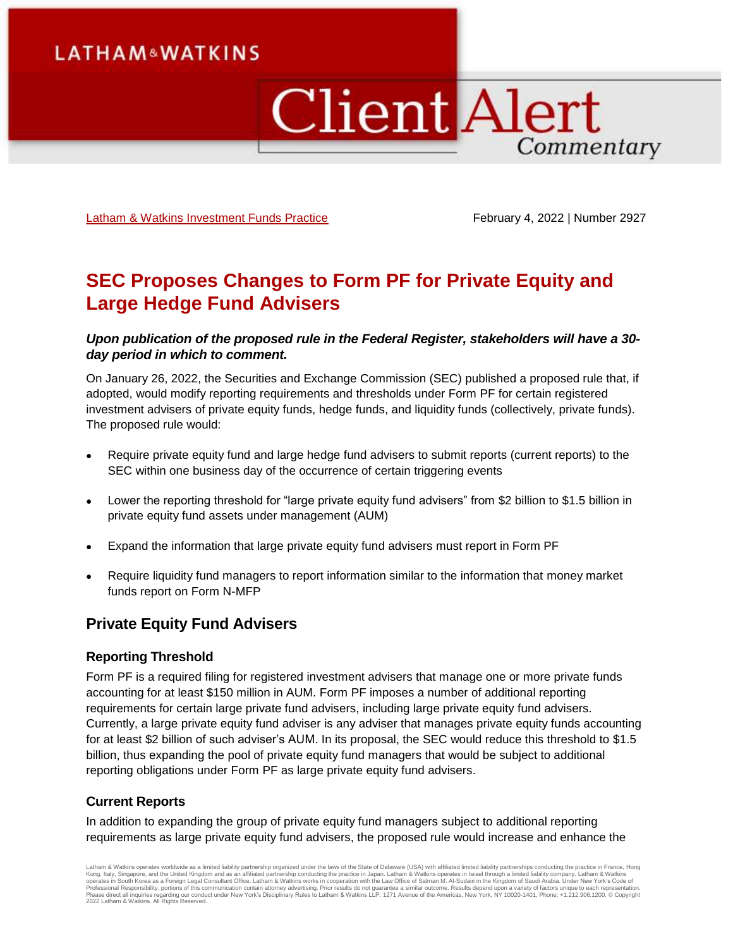# **LATHAM&WATKINS**

# **Client Alert** Commentary

[Latham & Watkins Investment Funds Practice](https://www.lw.com/practices/InvestmentFunds) February 4, 2022 | Number 2927

# **SEC Proposes Changes to Form PF for Private Equity and Large Hedge Fund Advisers**

## *Upon publication of the proposed rule in the Federal Register, stakeholders will have a 30 day period in which to comment.*

On January 26, 2022, the Securities and Exchange Commission (SEC) published a proposed rule that, if adopted, would modify reporting requirements and thresholds under Form PF for certain registered investment advisers of private equity funds, hedge funds, and liquidity funds (collectively, private funds). The proposed rule would:

- Require private equity fund and large hedge fund advisers to submit reports (current reports) to the SEC within one business day of the occurrence of certain triggering events
- Lower the reporting threshold for "large private equity fund advisers" from \$2 billion to \$1.5 billion in private equity fund assets under management (AUM)
- Expand the information that large private equity fund advisers must report in Form PF
- Require liquidity fund managers to report information similar to the information that money market funds report on Form N-MFP

# **Private Equity Fund Advisers**

#### **Reporting Threshold**

Form PF is a required filing for registered investment advisers that manage one or more private funds accounting for at least \$150 million in AUM. Form PF imposes a number of additional reporting requirements for certain large private fund advisers, including large private equity fund advisers. Currently, a large private equity fund adviser is any adviser that manages private equity funds accounting for at least \$2 billion of such adviser's AUM. In its proposal, the SEC would reduce this threshold to \$1.5 billion, thus expanding the pool of private equity fund managers that would be subject to additional reporting obligations under Form PF as large private equity fund advisers.

#### **Current Reports**

In addition to expanding the group of private equity fund managers subject to additional reporting requirements as large private equity fund advisers, the proposed rule would increase and enhance the

Latham & Watkins operates worldwide as a limited liability partnership organized under the laws of the State of Delaware (USA) with affiliated limited liability partnerships conducting the practice in France, Hong Kong, Italy, Singapore, and the United Kingdom and as an affiliated partnership conducting the practice in Japan. Latham & Watkins operates in Israel through a limited liablitly company. Latham & Watkins<br>operates in South 2022 Latham & Watkins. All Rights Reserved.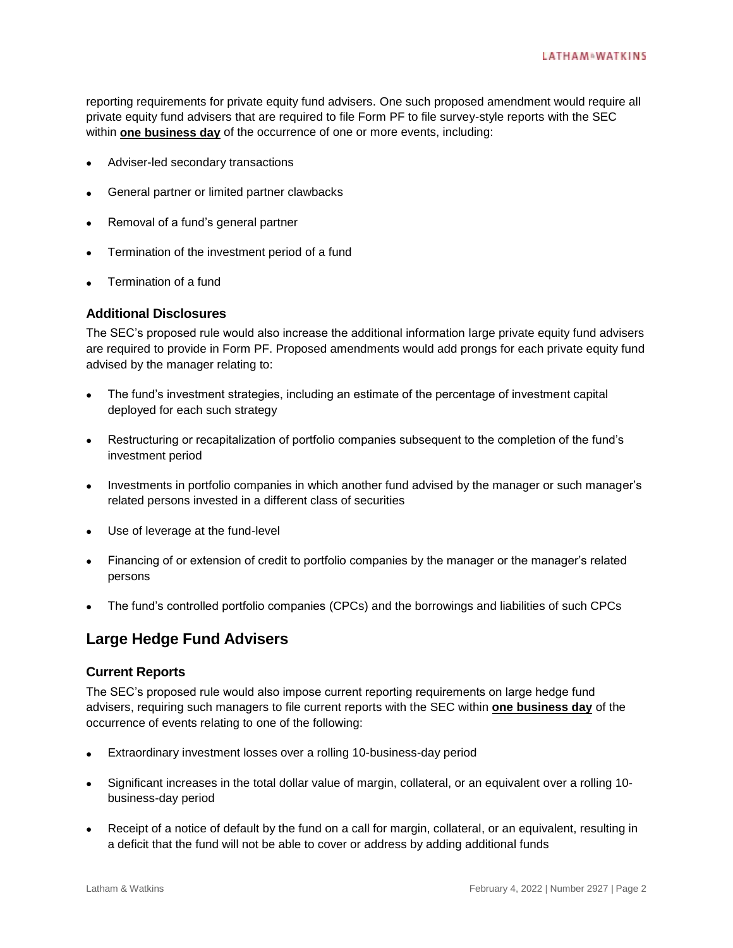reporting requirements for private equity fund advisers. One such proposed amendment would require all private equity fund advisers that are required to file Form PF to file survey-style reports with the SEC within **one business day** of the occurrence of one or more events, including:

- Adviser-led secondary transactions
- General partner or limited partner clawbacks
- Removal of a fund's general partner
- Termination of the investment period of a fund
- Termination of a fund

#### **Additional Disclosures**

The SEC's proposed rule would also increase the additional information large private equity fund advisers are required to provide in Form PF. Proposed amendments would add prongs for each private equity fund advised by the manager relating to:

- The fund's investment strategies, including an estimate of the percentage of investment capital deployed for each such strategy
- Restructuring or recapitalization of portfolio companies subsequent to the completion of the fund's investment period
- Investments in portfolio companies in which another fund advised by the manager or such manager's related persons invested in a different class of securities
- Use of leverage at the fund-level
- Financing of or extension of credit to portfolio companies by the manager or the manager's related persons
- The fund's controlled portfolio companies (CPCs) and the borrowings and liabilities of such CPCs

## **Large Hedge Fund Advisers**

#### **Current Reports**

The SEC's proposed rule would also impose current reporting requirements on large hedge fund advisers, requiring such managers to file current reports with the SEC within **one business day** of the occurrence of events relating to one of the following:

- Extraordinary investment losses over a rolling 10-business-day period
- Significant increases in the total dollar value of margin, collateral, or an equivalent over a rolling 10 business-day period
- Receipt of a notice of default by the fund on a call for margin, collateral, or an equivalent, resulting in a deficit that the fund will not be able to cover or address by adding additional funds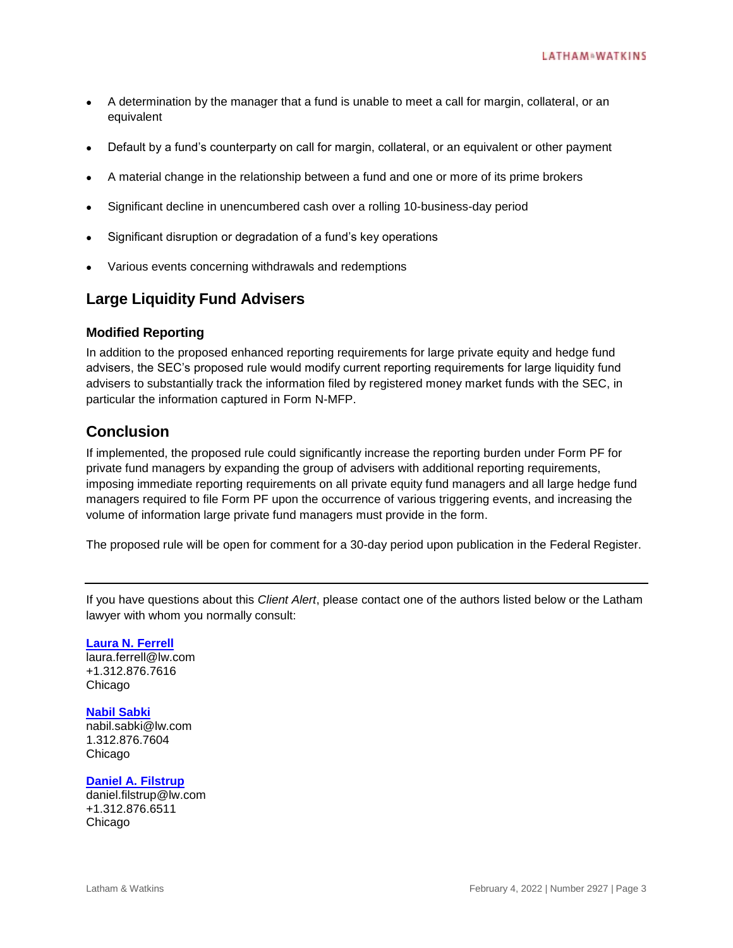- A determination by the manager that a fund is unable to meet a call for margin, collateral, or an equivalent
- Default by a fund's counterparty on call for margin, collateral, or an equivalent or other payment
- A material change in the relationship between a fund and one or more of its prime brokers
- Significant decline in unencumbered cash over a rolling 10-business-day period
- Significant disruption or degradation of a fund's key operations
- Various events concerning withdrawals and redemptions

# **Large Liquidity Fund Advisers**

#### **Modified Reporting**

In addition to the proposed enhanced reporting requirements for large private equity and hedge fund advisers, the SEC's proposed rule would modify current reporting requirements for large liquidity fund advisers to substantially track the information filed by registered money market funds with the SEC, in particular the information captured in Form N-MFP.

## **Conclusion**

If implemented, the proposed rule could significantly increase the reporting burden under Form PF for private fund managers by expanding the group of advisers with additional reporting requirements, imposing immediate reporting requirements on all private equity fund managers and all large hedge fund managers required to file Form PF upon the occurrence of various triggering events, and increasing the volume of information large private fund managers must provide in the form.

The proposed rule will be open for comment for a 30-day period upon publication in the Federal Register.

If you have questions about this *Client Alert*, please contact one of the authors listed below or the Latham lawyer with whom you normally consult:

**[Laura N. Ferrell](https://www.lw.com/people/laura-ferrell)** laura.ferrell@lw.com +1.312.876.7616 Chicago

#### **[Nabil Sabki](https://www.lw.com/people/nabil-sabki)**

nabil.sabki@lw.com 1.312.876.7604 Chicago

**[Daniel A. Filstrup](https://www.lw.com/people/daniel-filstrup)** daniel.filstrup@lw.com +1.312.876.6511 Chicago